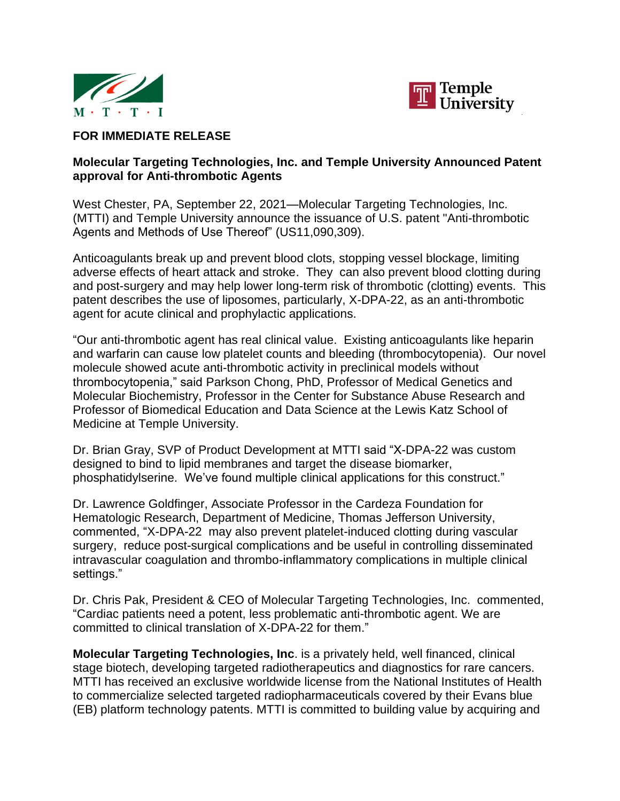



## **FOR IMMEDIATE RELEASE**

## **Molecular Targeting Technologies, Inc. and Temple University Announced Patent approval for Anti-thrombotic Agents**

West Chester, PA, September 22, 2021—Molecular Targeting Technologies, Inc. (MTTI) and Temple University announce the issuance of U.S. patent "Anti-thrombotic Agents and Methods of Use Thereof" (US11,090,309).

Anticoagulants break up and prevent blood clots, stopping vessel blockage, limiting adverse effects of heart attack and stroke. They can also prevent blood clotting during and post-surgery and may help lower long-term risk of thrombotic (clotting) events. This patent describes the use of liposomes, particularly, X-DPA-22, as an anti-thrombotic agent for acute clinical and prophylactic applications.

"Our anti-thrombotic agent has real clinical value. Existing anticoagulants like heparin and warfarin can cause low platelet counts and bleeding (thrombocytopenia). Our novel molecule showed acute anti-thrombotic activity in preclinical models without thrombocytopenia," said Parkson Chong, PhD, Professor of Medical Genetics and Molecular Biochemistry, Professor in the Center for Substance Abuse Research and Professor of Biomedical Education and Data Science at the Lewis Katz School of Medicine at Temple University.

Dr. Brian Gray, SVP of Product Development at MTTI said "X-DPA-22 was custom designed to bind to lipid membranes and target the disease biomarker, phosphatidylserine. We've found multiple clinical applications for this construct."

Dr. Lawrence Goldfinger, Associate Professor in the Cardeza Foundation for Hematologic Research, Department of Medicine, Thomas Jefferson University, commented, "X-DPA-22 may also prevent platelet-induced clotting during vascular surgery, reduce post-surgical complications and be useful in controlling disseminated intravascular coagulation and thrombo-inflammatory complications in multiple clinical settings."

Dr. Chris Pak, President & CEO of Molecular Targeting Technologies, Inc. commented, "Cardiac patients need a potent, less problematic anti-thrombotic agent. We are committed to clinical translation of X-DPA-22 for them."

**Molecular Targeting Technologies, Inc**. is a privately held, well financed, clinical stage biotech, developing targeted radiotherapeutics and diagnostics for rare cancers. MTTI has received an exclusive worldwide license from the National Institutes of Health to commercialize selected targeted radiopharmaceuticals covered by their Evans blue (EB) platform technology patents. MTTI is committed to building value by acquiring and